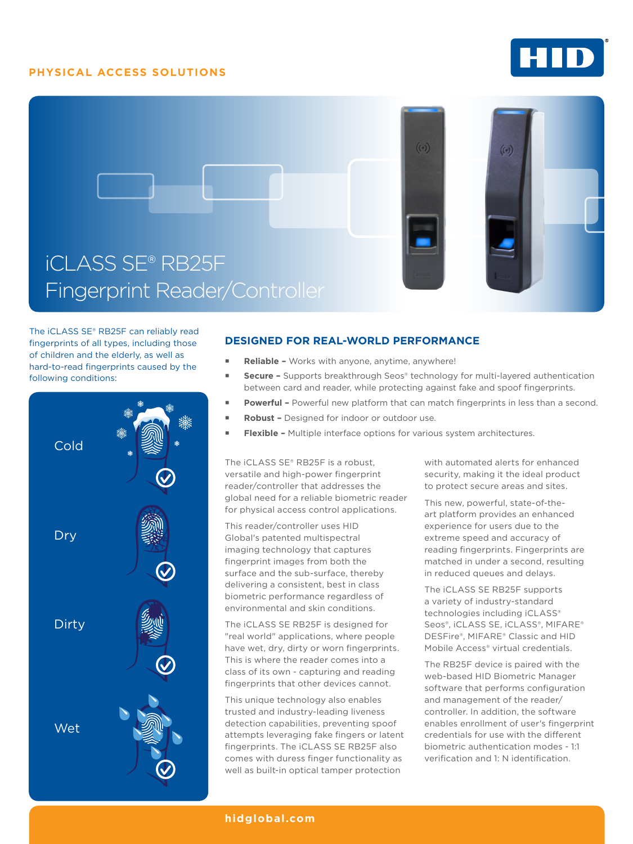# **PHYSICAL ACCESS SOLUTIONS**





The iCLASS SE® RB25F can reliably read fingerprints of all types, including those of children and the elderly, as well as hard-to-read fingerprints caused by the following conditions:



## **DESIGNED FOR REAL-WORLD PERFORMANCE**

- **Reliable** Works with anyone, anytime, anywhere!
- **Secure -** Supports breakthrough Seos® technology for multi-layered authentication between card and reader, while protecting against fake and spoof fingerprints.
- **Powerful** Powerful new platform that can match fingerprints in less than a second.
- **Robust** Designed for indoor or outdoor use.
- **Flexible** Multiple interface options for various system architectures.

The iCLASS SE® RB25F is a robust. versatile and high-power fingerprint reader/controller that addresses the global need for a reliable biometric reader for physical access control applications.

This reader/controller uses HID Global's patented multispectral imaging technology that captures fingerprint images from both the surface and the sub-surface, thereby delivering a consistent, best in class biometric performance regardless of environmental and skin conditions.

The iCLASS SE RB25F is designed for "real world" applications, where people have wet, dry, dirty or worn fingerprints. This is where the reader comes into a class of its own - capturing and reading fingerprints that other devices cannot.

This unique technology also enables trusted and industry-leading liveness detection capabilities, preventing spoof attempts leveraging fake fingers or latent fingerprints. The iCLASS SE RB25F also comes with duress finger functionality as well as built-in optical tamper protection

with automated alerts for enhanced security, making it the ideal product to protect secure areas and sites.

This new, powerful, state-of-theart platform provides an enhanced experience for users due to the extreme speed and accuracy of reading fingerprints. Fingerprints are matched in under a second, resulting in reduced queues and delays.

The iCLASS SE RB25F supports a variety of industry-standard technologies including iCLASS® Seos®, iCLASS SE, iCLASS®, MIFARE® DESFire®, MIFARE® Classic and HID Mobile Access® virtual credentials.

The RB25F device is paired with the web-based HID Biometric Manager software that performs configuration and management of the reader/ controller. In addition, the software enables enrollment of user's fingerprint credentials for use with the different biometric authentication modes - 1:1 verification and 1: N identification.

### **[hidglobal.com](http://www.hidglobal.com)**